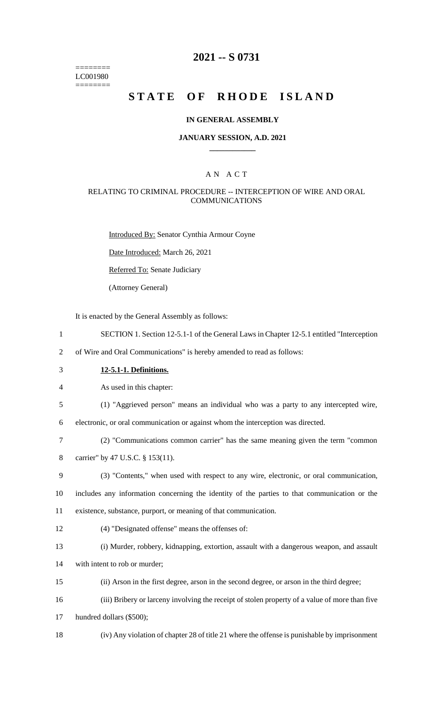======== LC001980 ========

## **2021 -- S 0731**

# **STATE OF RHODE ISLAND**

#### **IN GENERAL ASSEMBLY**

#### **JANUARY SESSION, A.D. 2021 \_\_\_\_\_\_\_\_\_\_\_\_**

### A N A C T

#### RELATING TO CRIMINAL PROCEDURE -- INTERCEPTION OF WIRE AND ORAL **COMMUNICATIONS**

Introduced By: Senator Cynthia Armour Coyne

Date Introduced: March 26, 2021

Referred To: Senate Judiciary

(Attorney General)

It is enacted by the General Assembly as follows:

- 1 SECTION 1. Section 12-5.1-1 of the General Laws in Chapter 12-5.1 entitled "Interception
- 2 of Wire and Oral Communications" is hereby amended to read as follows:
- 3 **12-5.1-1. Definitions.**

4 As used in this chapter:

5 (1) "Aggrieved person" means an individual who was a party to any intercepted wire,

6 electronic, or oral communication or against whom the interception was directed.

- 7 (2) "Communications common carrier" has the same meaning given the term "common
- 8 carrier" by 47 U.S.C. § 153(11).
- 9 (3) "Contents," when used with respect to any wire, electronic, or oral communication,
- 10 includes any information concerning the identity of the parties to that communication or the 11 existence, substance, purport, or meaning of that communication.
- 12 (4) "Designated offense" means the offenses of:
- 13 (i) Murder, robbery, kidnapping, extortion, assault with a dangerous weapon, and assault
- 14 with intent to rob or murder;
- 15 (ii) Arson in the first degree, arson in the second degree, or arson in the third degree;
- 16 (iii) Bribery or larceny involving the receipt of stolen property of a value of more than five
- 17 hundred dollars (\$500);
- 18 (iv) Any violation of chapter 28 of title 21 where the offense is punishable by imprisonment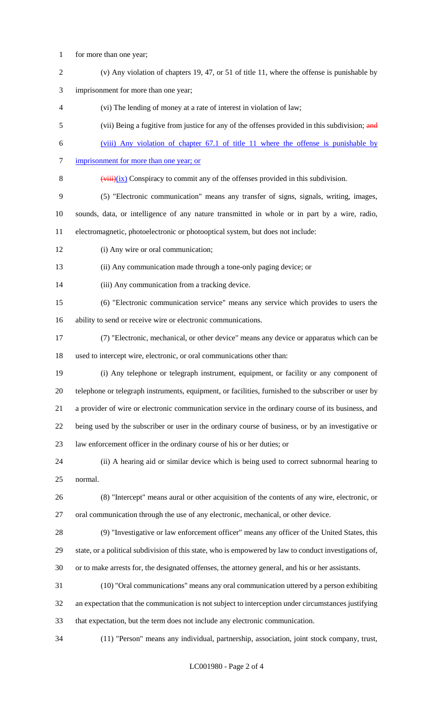- for more than one year;
- (v) Any violation of chapters 19, 47, or 51 of title 11, where the offense is punishable by
- imprisonment for more than one year;
- (vi) The lending of money at a rate of interest in violation of law;
- 5 (vii) Being a fugitive from justice for any of the offenses provided in this subdivision; and
- (viii) Any violation of chapter 67.1 of title 11 where the offense is punishable by
- 7 imprisonment for more than one year; or
- 8  $(viii)(ix)$  Conspiracy to commit any of the offenses provided in this subdivision.
- (5) "Electronic communication" means any transfer of signs, signals, writing, images,

sounds, data, or intelligence of any nature transmitted in whole or in part by a wire, radio,

electromagnetic, photoelectronic or photooptical system, but does not include:

- 12 (i) Any wire or oral communication;
- (ii) Any communication made through a tone-only paging device; or
- (iii) Any communication from a tracking device.
- (6) "Electronic communication service" means any service which provides to users the ability to send or receive wire or electronic communications.
- (7) "Electronic, mechanical, or other device" means any device or apparatus which can be used to intercept wire, electronic, or oral communications other than:
- (i) Any telephone or telegraph instrument, equipment, or facility or any component of telephone or telegraph instruments, equipment, or facilities, furnished to the subscriber or user by a provider of wire or electronic communication service in the ordinary course of its business, and being used by the subscriber or user in the ordinary course of business, or by an investigative or law enforcement officer in the ordinary course of his or her duties; or
- (ii) A hearing aid or similar device which is being used to correct subnormal hearing to normal.
- (8) "Intercept" means aural or other acquisition of the contents of any wire, electronic, or oral communication through the use of any electronic, mechanical, or other device.
- (9) "Investigative or law enforcement officer" means any officer of the United States, this state, or a political subdivision of this state, who is empowered by law to conduct investigations of, or to make arrests for, the designated offenses, the attorney general, and his or her assistants.
- (10) "Oral communications" means any oral communication uttered by a person exhibiting an expectation that the communication is not subject to interception under circumstances justifying that expectation, but the term does not include any electronic communication.
- (11) "Person" means any individual, partnership, association, joint stock company, trust,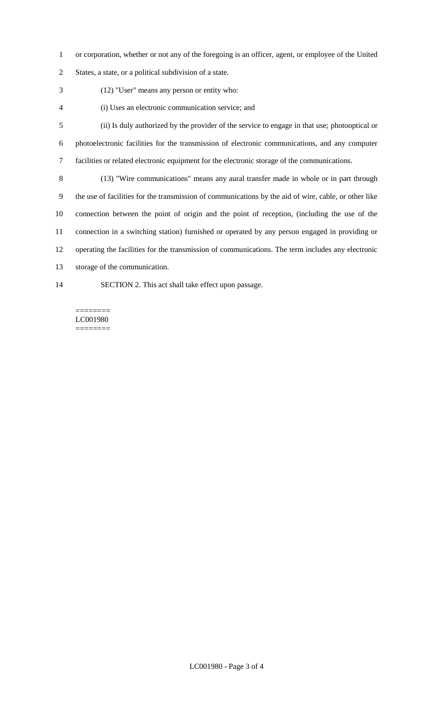- or corporation, whether or not any of the foregoing is an officer, agent, or employee of the United
- States, a state, or a political subdivision of a state.
- (12) "User" means any person or entity who:
- (i) Uses an electronic communication service; and
- (ii) Is duly authorized by the provider of the service to engage in that use; photooptical or photoelectronic facilities for the transmission of electronic communications, and any computer facilities or related electronic equipment for the electronic storage of the communications.
- (13) "Wire communications" means any aural transfer made in whole or in part through the use of facilities for the transmission of communications by the aid of wire, cable, or other like connection between the point of origin and the point of reception, (including the use of the connection in a switching station) furnished or operated by any person engaged in providing or operating the facilities for the transmission of communications. The term includes any electronic storage of the communication.
- SECTION 2. This act shall take effect upon passage.

======== LC001980 ========